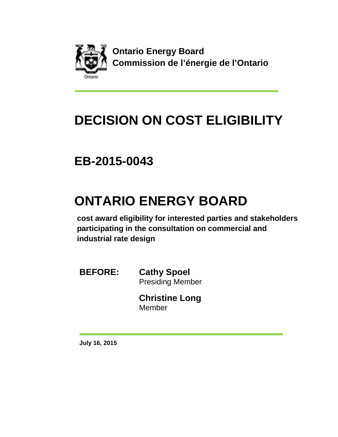

**Ontario Energy Board Commission de l'énergie de l'Ontario** 

## **DECISION ON COST ELIGIBILITY**

## **EB-2015-0043**

## **ONTARIO ENERGY BOARD**

**cost award eligibility for interested parties and stakeholders participating in the consultation on commercial and industrial rate design**

**BEFORE: Cathy Spoel** Presiding Member

> **Christine Long** Member

**July 16, 2015**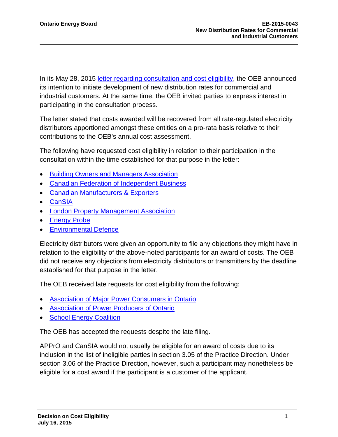In its May 28, 2015 [letter regarding consultation and cost eligibility,](http://www.ontarioenergyboard.ca/oeb/_Documents/EB-2015-0043/ltr_Rate_Design_EB-2015-0043_20150528.pdf) the OEB announced its intention to initiate development of new distribution rates for commercial and industrial customers. At the same time, the OEB invited parties to express interest in participating in the consultation process.

The letter stated that costs awarded will be recovered from all rate-regulated electricity distributors apportioned amongst these entities on a pro-rata basis relative to their contributions to the OEB's annual cost assessment.

The following have requested cost eligibility in relation to their participation in the consultation within the time established for that purpose in the letter:

- [Building Owners and Managers Association](http://www.rds.ontarioenergyboard.ca/webdrawer/webdrawer.dll/webdrawer/rec/481795/view/)
- [Canadian Federation of Independent Business](http://www.rds.ontarioenergyboard.ca/webdrawer/webdrawer.dll/webdrawer/rec/483378/view/)
- [Canadian Manufacturers & Exporters](http://www.rds.ontarioenergyboard.ca/webdrawer/webdrawer.dll/webdrawer/rec/482092/view/)
- [CanSIA](http://www.rds.ontarioenergyboard.ca/webdrawer/webdrawer.dll/webdrawer/rec/483433/view/)
- [London Property Management](http://www.rds.ontarioenergyboard.ca/webdrawer/webdrawer.dll/webdrawer/rec/481319/view/) Association
- [Energy Probe](http://www.rds.ontarioenergyboard.ca/webdrawer/webdrawer.dll/webdrawer/rec/483173/view/)
- [Environmental Defence](http://www.rds.ontarioenergyboard.ca/webdrawer/webdrawer.dll/webdrawer/rec/483007/view/)

Electricity distributors were given an opportunity to file any objections they might have in relation to the eligibility of the above-noted participants for an award of costs. The OEB did not receive any objections from electricity distributors or transmitters by the deadline established for that purpose in the letter.

The OEB received late requests for cost eligibility from the following:

- [Association of Major Power Consumers in Ontario](http://www.rds.ontarioenergyboard.ca/webdrawer/webdrawer.dll/webdrawer/rec/483627/view/)
- **[Association of Power Producers of Ontario](http://www.rds.ontarioenergyboard.ca/webdrawer/webdrawer.dll/webdrawer/rec/484262/view/)**
- **[School Energy Coalition](http://www.rds.ontarioenergyboard.ca/webdrawer/webdrawer.dll/webdrawer/rec/484568/view/)**

The OEB has accepted the requests despite the late filing.

APPrO and CanSIA would not usually be eligible for an award of costs due to its inclusion in the list of ineligible parties in section 3.05 of the Practice Direction. Under section 3.06 of the Practice Direction, however, such a participant may nonetheless be eligible for a cost award if the participant is a customer of the applicant.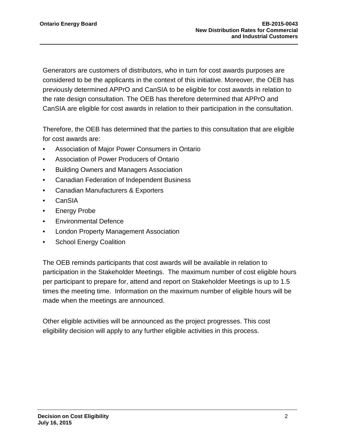Generators are customers of distributors, who in turn for cost awards purposes are considered to be the applicants in the context of this initiative. Moreover, the OEB has previously determined APPrO and CanSIA to be eligible for cost awards in relation to the rate design consultation. The OEB has therefore determined that APPrO and CanSIA are eligible for cost awards in relation to their participation in the consultation.

Therefore, the OEB has determined that the parties to this consultation that are eligible for cost awards are:

- Association of Major Power Consumers in Ontario
- Association of Power Producers of Ontario
- Building Owners and Managers Association
- Canadian Federation of Independent Business
- Canadian Manufacturers & Exporters
- CanSIA
- Energy Probe
- Environmental Defence
- London Property Management Association
- School Energy Coalition

The OEB reminds participants that cost awards will be available in relation to participation in the Stakeholder Meetings. The maximum number of cost eligible hours per participant to prepare for, attend and report on Stakeholder Meetings is up to 1.5 times the meeting time. Information on the maximum number of eligible hours will be made when the meetings are announced.

Other eligible activities will be announced as the project progresses. This cost eligibility decision will apply to any further eligible activities in this process.